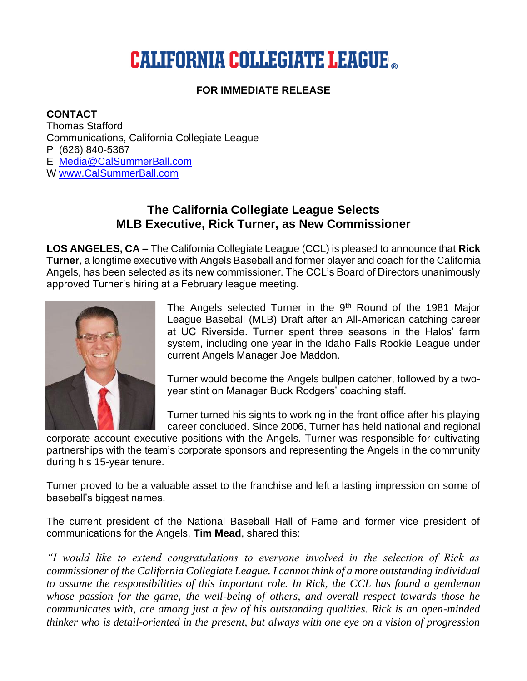# **CALIFORNIA COLLEGIATE LEAGUE ...**

## **FOR IMMEDIATE RELEASE**

#### **CONTACT**

Thomas Stafford Communications, California Collegiate League P (626) 840-5367 E [Media@CalSummerBall.com](mailto:media@calsummerball.com?subject=Rick%20Turner%20-%20New%20CCL%20Commissioner) W [www.CalSummerBall.com](http://www.calsummerball.com/)

# **The California Collegiate League Selects MLB Executive, Rick Turner, as New Commissioner**

**LOS ANGELES, CA –** The California Collegiate League (CCL) is pleased to announce that **Rick Turner**, a longtime executive with Angels Baseball and former player and coach for the California Angels, has been selected as its new commissioner. The CCL's Board of Directors unanimously approved Turner's hiring at a February league meeting.



The Angels selected Turner in the 9<sup>th</sup> Round of the 1981 Major League Baseball (MLB) Draft after an All-American catching career at UC Riverside. Turner spent three seasons in the Halos' farm system, including one year in the Idaho Falls Rookie League under current Angels Manager Joe Maddon.

Turner would become the Angels bullpen catcher, followed by a twoyear stint on Manager Buck Rodgers' coaching staff.

Turner turned his sights to working in the front office after his playing career concluded. Since 2006, Turner has held national and regional

corporate account executive positions with the Angels. Turner was responsible for cultivating partnerships with the team's corporate sponsors and representing the Angels in the community during his 15-year tenure.

Turner proved to be a valuable asset to the franchise and left a lasting impression on some of baseball's biggest names.

The current president of the National Baseball Hall of Fame and former vice president of communications for the Angels, **Tim Mead**, shared this:

*"I would like to extend congratulations to everyone involved in the selection of Rick as commissioner of the California Collegiate League. I cannot think of a more outstanding individual to assume the responsibilities of this important role. In Rick, the CCL has found a gentleman whose passion for the game, the well-being of others, and overall respect towards those he communicates with, are among just a few of his outstanding qualities. Rick is an open-minded thinker who is detail-oriented in the present, but always with one eye on a vision of progression*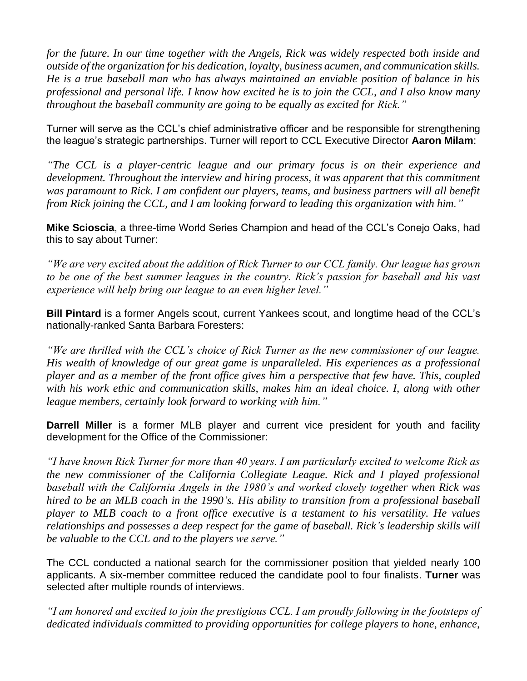*for the future. In our time together with the Angels, Rick was widely respected both inside and outside of the organization for his dedication, loyalty, business acumen, and communication skills. He is a true baseball man who has always maintained an enviable position of balance in his professional and personal life. I know how excited he is to join the CCL, and I also know many throughout the baseball community are going to be equally as excited for Rick."*

Turner will serve as the CCL's chief administrative officer and be responsible for strengthening the league's strategic partnerships. Turner will report to CCL Executive Director **Aaron Milam**:

*"The CCL is a player-centric league and our primary focus is on their experience and development. Throughout the interview and hiring process, it was apparent that this commitment was paramount to Rick. I am confident our players, teams, and business partners will all benefit from Rick joining the CCL, and I am looking forward to leading this organization with him."*

**Mike Scioscia**, a three-time World Series Champion and head of the CCL's Conejo Oaks, had this to say about Turner:

*"We are very excited about the addition of Rick Turner to our CCL family. Our league has grown to be one of the best summer leagues in the country. Rick's passion for baseball and his vast experience will help bring our league to an even higher level."*

**Bill Pintard** is a former Angels scout, current Yankees scout, and longtime head of the CCL's nationally-ranked Santa Barbara Foresters:

*"We are thrilled with the CCL's choice of Rick Turner as the new commissioner of our league. His wealth of knowledge of our great game is unparalleled. His experiences as a professional player and as a member of the front office gives him a perspective that few have. This, coupled with his work ethic and communication skills, makes him an ideal choice. I, along with other league members, certainly look forward to working with him."*

**Darrell Miller** is a former MLB player and current vice president for youth and facility development for the Office of the Commissioner:

*"I have known Rick Turner for more than 40 years. I am particularly excited to welcome Rick as the new commissioner of the California Collegiate League. Rick and I played professional baseball with the California Angels in the 1980's and worked closely together when Rick was hired to be an MLB coach in the 1990's. His ability to transition from a professional baseball player to MLB coach to a front office executive is a testament to his versatility. He values relationships and possesses a deep respect for the game of baseball. Rick's leadership skills will be valuable to the CCL and to the players we serve."*

The CCL conducted a national search for the commissioner position that yielded nearly 100 applicants. A six-member committee reduced the candidate pool to four finalists. **Turner** was selected after multiple rounds of interviews.

*"I am honored and excited to join the prestigious CCL. I am proudly following in the footsteps of dedicated individuals committed to providing opportunities for college players to hone, enhance,*